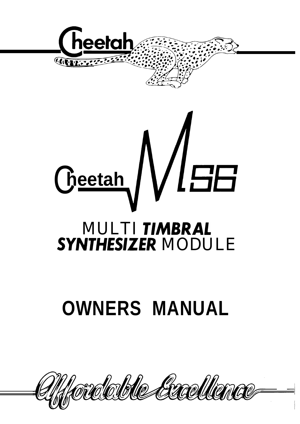



# **OWNERS MANUAL**

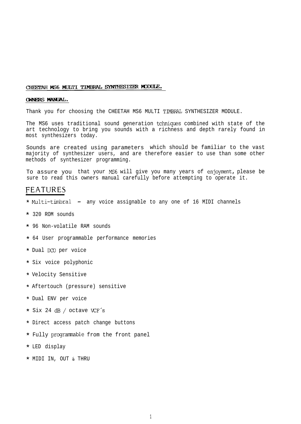### CHEETAH MS6 MULTI TIMBRAL SYNTHESIZER MODULE.

### **OWNERS MANUAL.**

Thank you for choosing the CHEETAH MS6 MULTI TIMBRAL SYNTHESIZER MODULE.

The MS6 uses traditional sound generation tchniques combined with state of the art technology to bring you sounds with a richness and depth rarely found in most synthesizers today.

Sounds are created using parameters which should be familiar to the vast majority of synthesizer users, and are therefore easier to use than some other methods of synthesizer programming.

To assure you that your MS6 will give you many years of enjoyment, please be sure to read this owners manual carefully before attempting to operate it.

### FEATURES

- \* Multi-timbral any voice assignable to any one of 16 MIDI channels
- \* 320 ROM sounds
- \* 96 Non-volatile RAM sounds
- \* 64 User programmable performance memories
- \* Dual DC0 per voice
- \* Six voice polyphonic
- \* Velocity Sensitive
- \* Aftertouch (pressure) sensitive
- \* Dual ENV per voice
- \* Six 24 dB / octave VCF's
- \* Direct access patch change buttons
- \* Fully programmable from the front panel
- \* LED display
- \* MIDI IN, OUT & THRU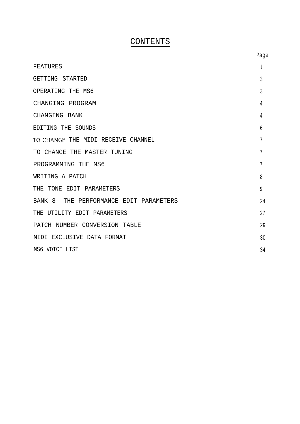## CONTENTS

|                                         | Page |
|-----------------------------------------|------|
| FEATURES                                |      |
| GETTING STARTED                         | 3    |
| OPERATING THE MS6                       | 3    |
| CHANGING PROGRAM                        | 4    |
| CHANGING BANK                           | 4    |
| EDITING THE SOUNDS                      | 6    |
| TO CHANGE THE MIDI RECEIVE CHANNEL      | 7    |
| TO CHANGE THE MASTER TUNING             | 7    |
| PROGRAMMING THE MS6                     | 7    |
| WRITING A PATCH                         | 8    |
| THE TONE EDIT PARAMETERS                | 9    |
| BANK 8 -THE PERFORMANCE EDIT PARAMETERS | 24   |
| THE UTILITY EDIT PARAMETERS             | 27   |
| PATCH NUMBER CONVERSION TABLE           | 29   |
| MIDI EXCLUSIVE DATA FORMAT              | 30   |
| MS6 VOICE LIST                          | 34   |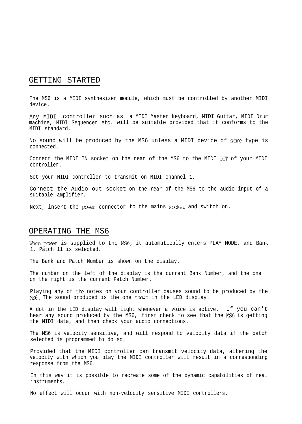### GETTING STARTED

The MS6 is a MIDI synthesizer module, which must be controlled by another MIDI device.

Any MIDI controller such as a MIDI Master keyboard, MIDI Guitar, MIDI Drum machine, MIDI Sequencer etc. will be suitable provided that it conforms to the MIDI standard.

No sound will be produced by the MS6 unless a MIDI device of scme type is connected.

Connect the MIDI IN socket on the rear of the MS6 to the MIDI OUT of your MIDI controller.

Set your MIDI controller to transmit on MIDI channel 1.

Connect the Audio out socket on the rear of the MS6 to the audio input of a suitable amplifier.

Next, insert the power connector to the mains sccket and switch on.

### OPERATING THE MS6

When power is supplied to the MS6, it automatically enters PLAY MODE, and Bank 1, Patch 11 is selected.

The Bank and Patch Number is shown on the display.

The number on the left of the display is the current Bank Number, and the one on the right is the current Patch Number.

Playing any of the notes on your controller causes sound to be produced by the MS6. The sound produced is the one shown in the LED display.

A dot in the LED display will light whenever a voice is active. If you can't hear any sound produced by the MS6, first check to see that the MS6 is getting the MIDI data, and then check your audio connections.

The MS6 is velocity sensitive, and will respond to velocity data if the patch selected is programmed to do so.

Provided that the MIDI controller can transmit velocity data, altering the velocity with which you play the MIDI controller will result in a corresponding response from the MS6.

In this way it is possible to recreate some of the dynamic capabilities of real instruments.

No effect will occur with non-velocity sensitive MIDI controllers.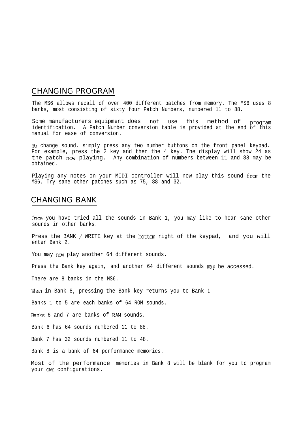### CHANGING PROGRAM

The MS6 allows recall of over 400 different patches from memory. The MS6 uses 8 banks, most consisting of sixty four Patch Numbers, numbered 11 to 88.

Some manufacturers equipment does not use this method of program identification. A Patch Number conversion table is provided at the end of this manual for ease of conversion.

To change sound, simply press any two number buttons on the front panel keypad. For example, press the 2 key and then the 4 key. The display will show 24 as the patch now playing. Any combination of numbers between 11 and 88 may be obtained.

Playing any notes on your MIDI controller will now play this sound from the MS6. Try sane other patches such as 75, 88 and 32.

### CHANGING BANK

Once you have tried all the sounds in Bank 1, you may like to hear sane other sounds in other banks.

Press the BANK / WRITE key at the bottom right of the keypad, and you will enter Bank 2.

You may now play another 64 different sounds.

Press the Bank key again, and another 64 different sounds may be accessed.

There are 8 banks in the MS6.

When in Bank 8, pressing the Bank key returns you to Bank 1

Banks 1 to 5 are each banks of 64 ROM sounds.

Banks 6 and 7 are banks of RAM sounds.

Bank 6 has 64 sounds numbered 11 to 88.

Bank 7 has 32 sounds numbered 11 to 48.

Bank 8 is a bank of 64 performance memories.

Most of the performance memories in Bank 8 will be blank for you to program your own configurations.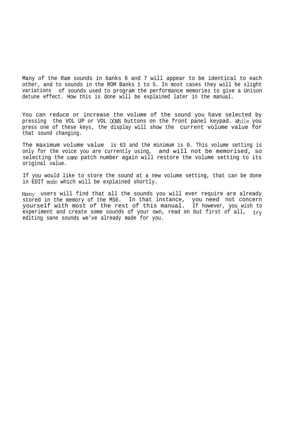Many of the Ram sounds in banks 6 and 7 will appear to be identical to each other, and to sounds in the ROM Banks 1 to 5. In most cases they will be slight variations of sounds used to program the performance memories to give a Unison detune effect. How this is done will be explained later in the manual.

You can reduce or increase the volume of the sound you have selected by pressing the VOL UP or VOL DOWN buttons on the front panel keypad. Nhile you press one of these keys, the display will show the current volume value for that sound changing.

The maximum volume value is 63 and the minimum is 0. This volume setting is only for the voice you are currently using, and will not be memorised, so selecting the same patch number again will restore the volume setting to its original value.

If you would like to store the sound at a new volume setting, that can be done in EDIT mode which will be explained shortly.

Many users will find that all the sounds you will ever require are already stored in the memory of the MS6. In that instance, you need not concern yourself with most of the rest of this manual. If however, you wish to experiment and create some sounds of your own, read on but first of all,  $try$ editing sane sounds we've already made for you.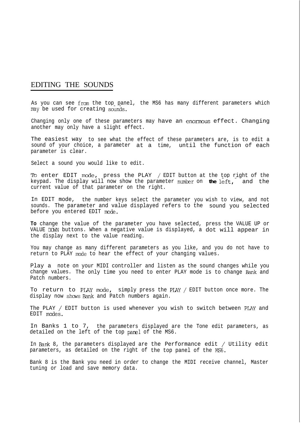### EDITING THE SOUNDS

As you can see from the top panel, the MS6 has many different parameters which may be used for creating sounds.

Changing only one of these parameters may have an enormous effect. Changing another may only have a slight effect.

The easiest way to see what the effect of these parameters are, is to edit a sound of your choice, a parameter at a time, until the function of each parameter is clear.

Select a sound you would like to edit.

Ib enter EDIT mode, press the PLAY / EDIT button at the top right of the keypad. The display will now show the parameter number on **the** left,- and the current value of that parameter on the right.

In EDIT mode, the number keys select the parameter you wish to view, and not sounds. The parameter and value displayed refers to the sound you selected before you entered EDIT mode.

**To** change the value of the parameter you have selected, press the VALUE UP or VALUE DOWN buttons. When a negative value is displayed, a dot will appear in the display next to the value reading.

You may change as many different parameters as you like, and you do not have to return to PLAY mode to hear the effect of your changing values.

Play a note on your MIDI controller and listen as the sound changes while you change values. The only time you need to enter PLAY mode is to change Bank and Patch numbers.

To return to PLAY mode, simply press the PLAY / EDIT button once more. The display now shows Bank and Patch numbers again.

The PLAY / EDIT button is used whenever you wish to switch between PLAY and EDIT modes.

In Banks 1 to 7, the parameters displayed are the Tone edit parameters, as detailed on the left of the top panel of the MS6.

In Bank 8, the parameters displayed are the Performance edit / Utility edit parameters, as detailed on the right of the top panel of the MS6.

Bank 8 is the Bank you need in order to change the MIDI receive channel, Mastertuning or load and save memory data.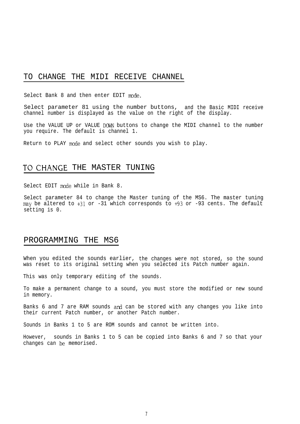### TO CHANGE THE MIDI RECEIVE CHANNEL

Select Bank 8 and then enter EDIT mode.

Select parameter 81 using the number buttons, and the Basic MIDI receive channel number is displayed as the value on the right of the display.

Use the VALUE UP or VALUE DOWN buttons to change the MIDI channel to the number you require. The default is channel 1.

Return to PLAY mode and select other sounds you wish to play.

### TO CHANGE THE MASTER TUNING

Select EDIT mode while in Bank 8.

Select parameter 84 to change the Master tuning of the MS6. The master tuning may be altered to +31 or -31 which corresponds to +93 or -93 cents. The default setting is 0.

### PROGRAMMING THE MS6

When you edited the sounds earlier, the changes were not stored, so the sound was reset to its original setting when you selected its Patch number again.

This was only temporary editing of the sounds.

To make a permanent change to a sound, you must store the modified or new sound in memory.

Banks 6 and 7 are RAM sounds and can be stored with any changes you like into their current Patch number, or another Patch number.

Sounds in Banks 1 to 5 are ROM sounds and cannot be written into.

However, sounds in Banks 1 to 5 can be copied into Banks 6 and 7 so that your changes can be memorised.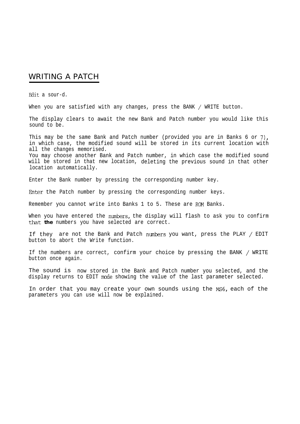## WRITING A PATCH

Edit a sour-d.

When you are satisfied with any changes, press the BANK / WRITE button.

The display clears to await the new Bank and Patch number you would like this sound to be.

This may be the same Bank and Patch number (provided you are in Banks 6 or 7), in which case, the modified sound will be stored in its current location with all the changes memorised. You may choose another Bank and Patch number, in which case the modified sound will be stored in that new location, deleting the previous sound in that other location automatically.

Enter the Bank number by pressing the corresponding number key.

Enter the Patch number by pressing the corresponding number keys.

Remember you cannot write into Banks 1 to 5. These are ROM Banks.

When you have entered the numbers, the display will flash to ask you to confirm that **the** numbers you have selected are correct.

If they are not the Bank and Patch numbers you want, press the PLAY / EDIT button to abort the Write function.

If the numbers are correct, confirm your choice by pressing the BANK / WRITE button once again.

The sound is now stored in the Bank and Patch number you selected, and the display returns to EDIT mode showing the value of the last parameter selected.

In order that you may create your own sounds using the Ms6, each of the parameters you can use will now be explained.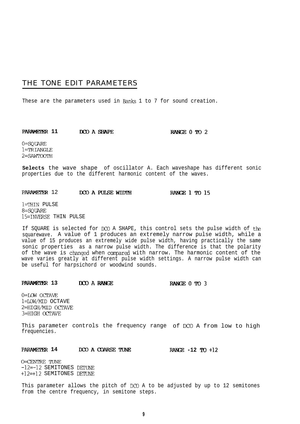### THE TONE EDIT PARAMETERS

These are the parameters used in Banks 1 to 7 for sound creation.

**PARAMETER 11 DCO A SHAPE RANGE 0 TO 2** 

0=SQUARE l=TRIANGLE 2=SAWTOOTH

**Selects** the wave shape of oscillator A. Each waveshape has different sonic properties due to the different harmonic content of the waves.

# PARAMETER 12 **DCO A PULSE WIDTH RANGE 1 TO 15**

l=THIN PULSE **8=SQWRE** 15=INVERSE THIN PULSE

If SQUARE is selected for DC0 A SHAPE, this control sets the pulse width of the squarewave. A value of 1 produces an extremely narrow pulse width, while a value of 15 produces an extremely wide pulse width, having practically the same sonic properties as a narrow pulse width. The difference is that the polarity of the wave is changed when compared with narrow. The harmonic content of the wave varies greatly at different pulse width settings. A narrow pulse width can be useful for harpsichord or woodwind sounds.

### **PARAMETER 13 IXO A RANGE RANGE 0 TO 3**

0=LOW OCTAVE l=IQW/MID OCTAVE 2=HIGH/MID OCTAVE 3=HIGH OCTAVE

This parameter controls the frequency range of DC0 A from low to high frequencies.

#### **PARAMETER 14 DCO A COARSE TUNE RANGE -12 TO +12**

O=CENTRE TUNE -12=-12 SEMITONES DFTUNE +12=+12 SEMITONES DETUNE

This parameter allows the pitch of DC0 A to be adjusted by up to 12 semitones from the centre frequency, in semitone steps.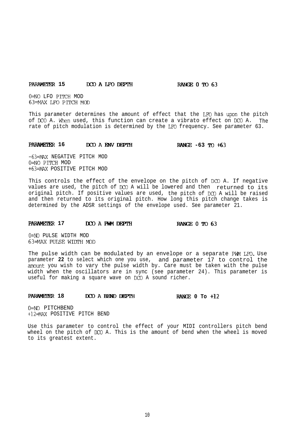### **PARAMETER 15 ECO A LFO DEPTH RANGE 0 TO 63**

0=NO LFO PITCH MOD 63=MAX LFO PITCH MOD

This parameter determines the amount of effect that the LFO has upon the pitch of DCO A. When used, this function can create a vibrato effect on DCO A. The rate of pitch modulation is determined by the LFO frequency. See parameter 63.

### **PARAMETER 16 DCO A ENV DEPTH RANGE** -63 TO +63

**-63=M?x** NEGATIVE PITCH MOD O=NO PITCH MOD **+63=MAX** POSITIVE PITCH MOD

This controls the effect of the envelope on the pitch of DCO A. If negative values are used, the pitch of DC0 A will be lowered and then returned to its original pitch. If positive values are used, the pitch of DC0 A will be raised and then returned to its original pitch. How long this pitch change takes is determined by the ADSR settings of the envelope used. See parameter 21.

### **PARAMETER 17 DCO A PWM DEPTH RANGE 0 TO 63**

o=No PULSE WIDTH MOD 63=MAX PULSE WIDTH MOD

The pulse width can be modulated by an envelope or a separate PWM LFO. Use parameter **22** to select which one you use, and parameter 17 to control the amount you wish to vary the pulse width by. Care must be taken with the pulse width when the oscillators are in sync (see parameter 24). This parameter is useful for making a square wave on DC0 A sound richer.

### **PARAMELWR 18 DCO A BEND DEPTH RANGE 0 To +12**

O=NZ PITCHBEND +12=MAX POSITIVE PITCH BEND

Use this parameter to control the effect of your MIDI controllers pitch bend wheel on the pitch of DC0 A. This is the amount of bend when the wheel is moved to its greatest extent.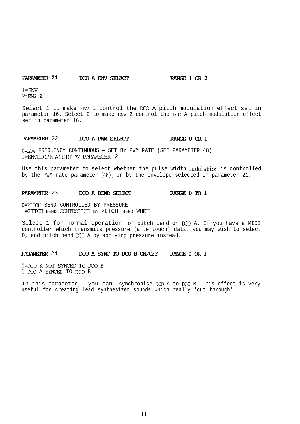### **PARAMETER 21 DCO A ENV SELECT BANGE 1 OR 2**

 $l=ENV$   $l$ **2=lmv 2**

Select 1 to make ENV 1 control the DC0 A pitch modulation effect set in parameter 16. Select 2 to make ENV 2 control the DC0 A pitch modulation effect set in parameter 16.

# PARAMETER 22 DCO A PWM SELECT RANGE 0 OR 1

O=LOW FREQUENCY CONTINUOUS - SET BY PWM RATE (SEE PARAMETER 48)  $l$ =ENVELOPE AS SET BY PARAMETER 21

Use this parameter to select whether the pulse width modulation is controlled by the PWM rate parameter (481, or by the envelope selected in parameter 21.

### PARAMETER 23 DCO A BEND SELECT RANGE 0 TO 1

O=PITCH BEND CONTROLLED BY PRESSURE 1=PITCH BEND CONTROLLED BY PITCH BEND WHEEL

Select 1 for normal operation of pitch bend on IX0 A. If you have a MIDI controller which transmits pressure (aftertouch) data, you may wish to select 0, and pitch bend DC0 A by applying pressure instead.

### PARAMETER 24 DCO A SYNC TO DCO B ON/OFF RANGE 0 OR 1

 $0 = DCO$  A NOT SYNCED TO  $DCO$  B l=DCO A SYNCED TO DC0 B

In this parameter, you can synchronise DC0 A to DC0 B. This effect is very useful for creating lead synthesizer sounds which really 'cut through'.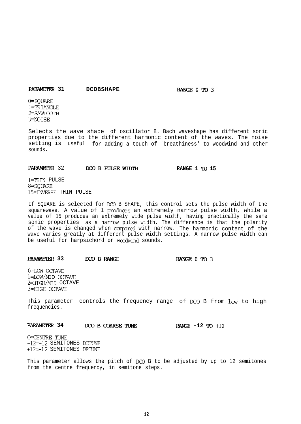### PARAMETER 31 DCOBSHAPE

RANGE 0 TO 3

o=sQuARE l=TFUANGLE 2=SAWIOOTH 3=NOISE

Selects the wave shape of oscillator B. Bach waveshape has different sonic properties due to the different harmonic content of the waves. The noise setting is useful for adding a touch of 'breathiness' to woodwind and other sounds.

# PARAMETER 32 **DCO B PULSE WIDTH RANGE 1 TO 15**

l=THIN PULSE 8=SQUARB 15=INVERSE THIN PULSE

If SQUARE is selected for DC0 B SHAPE, this control sets the pulse width of the squarewave. A value of 1 produces an extremely narrow pulse width, while a value of 15 produces an extremely wide pulse width, having practically the same sonic properties as a narrow pulse width. The difference is that the polarity of the wave is changed when compared with narrow. The harmonic content of the wave varies greatly at different pulse width settings. A narrow pulse width can be useful for harpsichord or woodwind sounds.

### **PARAMEIER 33 DCOBRANGJX RANaoTo3**

0=LOW OCTAVE l=LOW/MID OCTAVE 2=HIGH/MID OCTAVE 3=HIGH OCTAVE

This parameter controls the frequency range of DCO B from low to high frequencies.

**PARAMETER 34 DCO B COARSE TUNE RANGE -12 TO +12** 

O=CENTRE TUNE -12=-12 SEMITONES DETUNE +12=+12 SEMITONES DETUNE

This parameter allows the pitch of DC0 B to be adjusted by up to 12 semitones from the centre frequency, in semitone steps.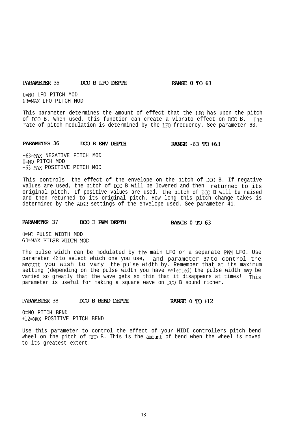### PARAMETER 35 DCOBLFODEPTH RANGE 0 TO 63

O=NO LFO PITCH MOD ~~=MAx LFO PITCH MOD

This parameter determines the amount of effect that the LFO has upon the pitch of DC0 B. When used, this function can create a vibrato effect on DC0 B. The rate of pitch modulation is determined by the LFO frequency. See parameter 63.

### PARAMETER 36 DCOBLEW DEPTH RANGE -63 TO +63

-63=M%x NEGATIVE PITCH MOD o=NO PITCH MOD +63=MAx POSITIVE PITCH MOD

This controls the effect of the envelope on the pitch of DCO B. If negative values are used, the pitch of IX0 B will be lowered and then returned to its original pitch. If positive values are used, the pitch of DC0 B will be raised and then returned to its original pitch. How long this pitch change takes is determined by the ADSR settings of the envelope used. See parameter 41.

### PARAMETER 37 DCO B PWM DEPTH RANGE 0 TO 63

o=No PULSE WIDTH MOD 63=MAX PUISE WIDTH MOD

The pulse width can be modulated by the main LFO or a separate PWM LFO. Use parameter 42 to select which one you use, and parameter 37 to control the amount you wish to vary the pulse width by. Remember that at its maximum setting (depending on the pulse width you have selected) the pulse width may be varied so greatly that the wave gets so thin that it disappears at times! This parameter is useful for making a square wave on DC0 B sound richer.

### PARAMETER 38 DCO B BEND DEPTH RANGE 0 TO +12

O=NO PITCH BEND +12=MAX POSITIVE PITCH BEND

Use this parameter to control the effect of your MIDI controllers pitch bend wheel on the pitch of DCO B. This is the amount of bend when the wheel is moved to its greatest extent.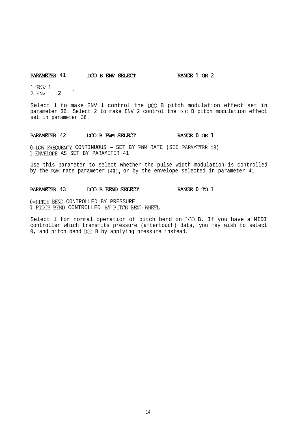### PARAMETER 41 DCOBENV SELECT RANGE 1 OR 2

 $l =$ ENV  $l$  $2 = EW$  2  $'$ 

Select 1 to make ENV 1 control the DC0 B pitch modulation effect set in parameter 36. Select 2 to make ENV 2 control the DC0 B pitch modulation effect set in parameter 36.

# PARAMETER 42 DOO B PWM SELECT **RANGE 0 OR**

0=LOW FREQUENCY CONTINUOUS - SET BY PWM RATE (SEE PARAMETER 48) l=ENVE%OPE AS SET BY PARAMETER 41

Use this parameter to select whether the pulse width modulation is controlled by the PWM rate parameter (481, or by the envelope selected in parameter 41.

# PARAMETER 43 DCOBBENDSELECT RANGE 0 TO 1

O=PI'ICH BEND CONTROLLED BY PRESSURE l=PITCH BEND CONTROLLED BY PITCH BEND WHEEL

Select 1 for normal operation of pitch bend on DC0 B. If you have a MIDI controller which transmits pressure (aftertouch) data, you may wish to select 0, and pitch bend DC0 B by applying pressure instead.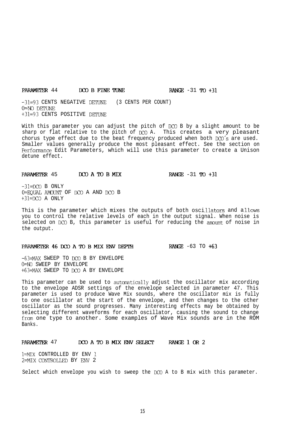# PARAMETER  $44$  DCO B FINE TUNE RANGE  $-31$  TO  $+31$

-31=93 CENTS NEGATIVE DETUNE (3 CENTS PER COUNT) O=NO DFTUNE +3l=93 CENTS POSITIVE DEIFUNE

With this parameter you can adjust the pitch of DCO B by a slight amount to be sharp or flat relative to the pitch of DC0 A. This creates a very pleasant chorus type effect due to the beat frequency produced when both DCO's are used. Smaller values generally produce the most pleasant effect. See the section on Perfomnce Edit Parameters, which will use this parameter to create a Unison detune effect.

### PARAMETER 45 DCO A TO B MIX

RANGE  $-31$  TO  $+31$ 

 $-31=DCO$  B ONLY O=EQUAL AMOUNT OF DC0 A AND DC0 B  $+31=DCO$  A ONLY

This is the parameter which mixes the outputs of both oscillators and allows you to control the relative levels of each in the output signal. When noise is selected on DCO B, this parameter is useful for reducing the amount of noise in the output.

### PARAMETER 46 DCO A TO B MIX ENV DEPTH RANGE -63 TO +63

-63=MAX SWEEP TO DC0 B BY ENVELOPE O=No SWEEP BY ENVELOPE +63=MAX SWEEP TO DC0 A BY ENVELOPE

This parameter can be used to automatically adjust the oscillator mix according to the envelope ADSR settings of the envelope selected in parameter 47. This parameter is used to produce Wave Mix sounds, where the oscillator mix is fully to one oscillator at the start of the envelope, and then changes to the other oscillator as the sound progresses. Many interesting effects may be obtained by selecting different waveforms for each oscillator, causing the sound to change from one type to another. Some examples of Wave Mix sounds are in the ROM Banks.

### PARAMETER 47 DCO A TO B MIX ENV SELECT RANGE 1 OR 2

l=MIX CONTROLLED BY ENV <sup>1</sup> 2=MIXCONTROLLED BY ENV 2

Select which envelope you wish to sweep the DC0 A to B mix with this parameter.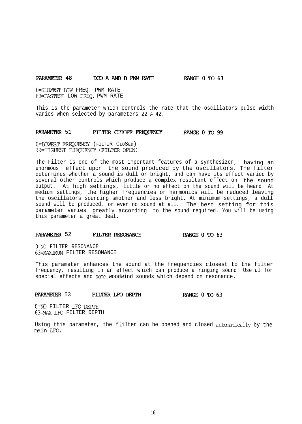### **PARAMETER 48 DCO A AND B PWM RATE RANGE 0 TO 63**

O=SLOWFST IQW FREQ. PWM RATE 63=FASTEST LOW FRFQ. PWM RATE

This is the parameter which controls the rate that the oscillators pulse width varies when selected by parameters 22 & 42.

### **PARAMETER** 51 **FILTER CUTOFF FREQUENCY RANGE 0 TO 99**

O=LQWEST FREQUENCY (FILTER CLOSED) 99=HICHEsT FREQUENCY (FILTER OPEN)

The Filter is one of the most important features of a synthesizer, having an enormous effect upon the sound produced by the oscillators. The filter determines whether a sound is dull or bright, and can have its effect varied by several other controls which produce a complex resultant effect on the sound output. At high settings, little or no effect on the sound will be heard. At medium settings, the higher frequencies or harmonics will be reduced leaving the oscillators sounding smother and less bright. At minimum settings, a dull sound will be produced, or even no sound at all. The best setting for this parameter varies greatly according to the sound required. You will be using this parameter a great deal.

# PARAMETER 52 **FILTER RESONANCE FILTER** RESONANCE

O=NO FILTER RESONANCE 63=MAXIMUM FILTER RESONANCE

This parameter enhances the sound at the frequencies closest to the filter frequency, resulting in an effect which can produce a ringing sound. Useful for special effects and scme woodwind sounds which depend on resonance.

### **PARAMETER** 53 **FILTER LFODEPTH RANGE 0 TO 63**

o=NQ FILTER LFO DEPTH 63=MAX LFO FILTER DEPTH

Using this parameter, the f 'ilter can be opened and closed autcmatically by the main LFO.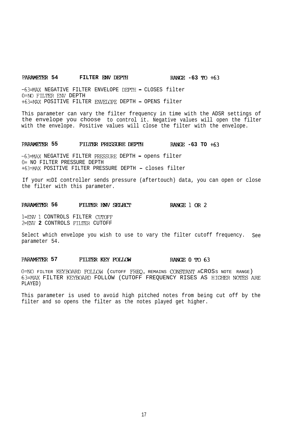### **PARAMETER 54 FILTER ENV** DEPTH **RANCE -63 TO +63**

**-63=MAX** NEGATIVE FILTER ENVELOPE DEPTH - CLOSES filter 0=NO FILTER ENV DEPTH **+63=MAx** POSITIVE FILTER ENVEI.OPE DEPTH - OPENS filter

This parameter can vary the filter frequency in time with the ADSR settings of the envelope you choose to control it. Negative values will open the filter with the envelope. Positive values will close the filter with the envelope.

#### **PARAMETER 55 FILTER PRESSURE DEPTH** RANGE -63 TO +63

-63=MAX NEGATIVE FILTER PRESSURE DEPTH - opens filter O= NO FILTER PRESSURE DEPTH +63=MAX POSITIVE FILTER PRESSURE DEPTH - closes filter

If your MIDI controller sends pressure (aftertouch) data, you can open or close the filter with this parameter.

#### **PARAMETER 56 FILTER ENV SELECT RANGE 1 OR 2**

l=ENV 1 CONTROLS FILTER CUtOFF **2=ENV 2** CONTROLS FILTER CUTOFF

Select which envelope you wish to use to vary the filter cutoff frequency. See parameter 54.

### PARAMETER 57 **FILTER KEY FOLLOW RANGE 0 TO 63**

O=NO FILTER KEYBOARD FOLLOW (CUTOFF FREQ. REMAINS CONSTANT ACROSS NOTE RANGE) 63=MAX FILTER KEYBOARD FOLLOW (CUTOFF FREQUENCY RISES AS HIGHER NOTES ARE PLAYED)

This parameter is used to avoid high pitched notes from being cut off by the filter and so opens the filter as the notes played get higher.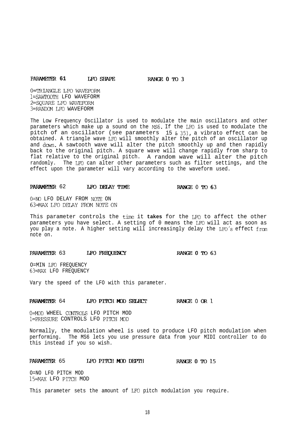#### **PARMETER 61 WOSHAPE** RArxxoTo3

0=TRIANGLE LFO WAVEFORM l=SAWI'OGTH LFO WAVEFORM 2=SQUARE LFO WAVEFORM 3=RANDOM LFO WAVEFORM

The Low Frequency Oscillator is used to modulate the main oscillators and other parameters which make up a sound on the MS6. If the LFO is used to modulate the pitch of an oscillator (see parameters 15 & 35), a vibrato effect can be obtained. A triangle wave LFC will smoothly alter the pitch of an oscillator up and down. A sawtooth wave will alter the pitch smoothly up and then rapidly back to the original pitch. A square wave will change rapidly from sharp to flat relative to the original pitch. A random wave will alter the pitch randomly. The LFO can alter other parameters such as filter settings, and the effect upon the parameter will vary according to the waveform used.

# **PARAMETER** 62 **LEO DELAY TIME** RANGE 0 TO 63

O=No LFO DELAY FROM NOTE ON 63=MAXLFODEXAY FROMNCYTEON

This parameter controls the time it **takes** for the LFO to affect the other parameters you have select. A setting of 0 means the LFC will act as soon as you play a note. A higher setting will increasingly delay the LFO's effect from note on.

# PARAMETER 63 LFO FREQUENCY RANGE 0 TO 63

O=MIN LFO FREQUENCY 63=MAX LFO FREQUENCY

Vary the speed of the LFO with this parameter.

# **PARAMETER** 64 **LFO PITCH MOD SELECT** RANGE 0 OR 1

O=MJD WHEEL CQJI'ROLS LFO PITCH MOD l=PRESSURE CONTROLS LFO PITCH MOD

Normally, the modulation wheel is used to produce LFO pitch modulation when performing. The MS6 lets you use pressure data from your MIDI controller to do this instead if you so wish.

# **PARAMETER** 65 **I.FO PITCH MOD DEPTH RANGE 0 TO 15**

O=NO LFO PITCH MOD 15=MAX LFO PITCH MOD

This parameter sets the amount of LFC pitch modulation you require.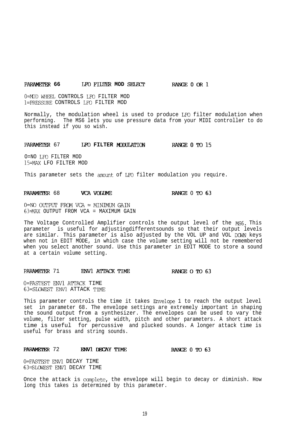### **PARAMETER 66 LFO FILTER MOD SELECT RANGE 0 OR 1**

0=MOD WHEEL CONTROLS LFO FILTER MOD l=PRESSURE CONTROLS LFC FILTER MOD

Normally, the modulation wheel is used to produce LFO filter modulation when performing. The MS6 lets you use pressure data from your MIDI controller to do this instead if you so wish.

### **PARAMETER 67 LFO FILTER MODULATION RANGE 0 TO 15**

O=NO LFO FILTER MOD 15=MAX LFO FILTER MOD

This parameter sets the amount of LFO filter modulation you require.

### **PARAMETER 68 VCA VOLUME RANGE 0 TO 63**

 $0=NO$  OUTPUT FROM VCA = MINIMUM GAIN 63=MAX OUTPUT FROM VCA = MAXIMUM GAIN

The Voltage Controlled Amplifier controls the output level of the MS6. This parameter is useful for adjustingdifferentsounds so that their output levels are similar. This parameter is also adjusted by the VOL UP and VOL DOWN keys when not in EDIT MODE, in which case the volume setting will not be remembered when you select another sound. Use this parameter in EDIT MODE to store a sound at a certain volume setting.

# PARAMETER 71 ENVL ATTACK TIME **RANGE O TO 63**

O=FASTEST ENVl ATTACK TIME 63=SLOWEST ENVl ATTACK TIME

This parameter controls the time it takes Envelope 1 to reach the output level set in parameter 68. The envelope settings are extremely important in shaping the sound output from a synthesizer. The envelopes can be used to vary the volume, filter setting, pulse width, pitch and other parameters. A short attack time is useful for percussive and plucked sounds. A longer attack time is useful for brass and string sounds.

# **PARAMETER** 72 **ENVI DECAY TIME** RANGE 0 TO 63

0=FASTEST ENVl DECAY TIME 63=SLOWEST ENVl DECAY TIME

Once the attack is complete, the envelope will begin to decay or diminish. How long this takes is determined by this parameter.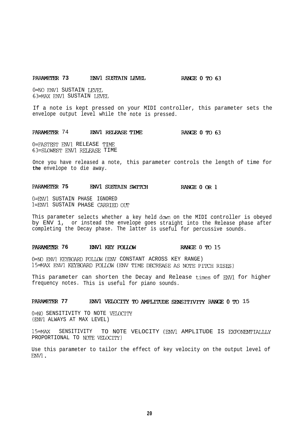### **PARAMETER 73 ENVI SUSTAIN LEVEL RANGE 0 TO 63**

O=NO ENVl SUSTAIN LEVEL **63=MAX** ENVl SUSTAIN LEVEL

If a note is kept pressed on your MIDI controller, this parameter sets the envelope output level while the note is pressed.

PARAMETER 74 **ENVl RELEASE TIME RANGE 0 TO 63** 

O=FASTEST FNVl RELEASE TIME 63=SLQWEST ENVl RELEASE TIME

Once you have released a note, this parameter controls the length of time for **the** envelope to die away.

#### PARAMETER 75 ENV1 SUSTAIN SWITCH **RANGE 0 OR 1**

**O=ENVl** SUSTAIN PHASE IGNORED l=ENVl SUSTAIN PHASE CARRIED OUT

This parameter selects whether a key held down on the MIDI controller is obeyed by ENV 1, or instead the envelope goes straight into the Release phase after completing the Decay phase. The latter is useful for percussive sounds.

#### PARAMETER 76 ENVL KEY FOLLOW RANGE 0 TO 15

0=NO ENVl KEYBOARD FOLLOW (ENV CONSTANT ACROSS KEY RANGE) 15=MAX ENV1 KEYBOARD FOLLOW (ENV TIME DECREASE AS NOTE PITCH RISES)

This parameter can shorten the Decay and Release times of ENVl for higher frequency notes. This is useful for piano sounds.

### **PARAMETER 77 ENVL VELOCITY TO AMPLITUDE SENSITIVITY RANGE 0 TO 15**

0=NO SENSITIVITY TO NOTE VELOCITY (ENVl ALWAYS AT MAX LEVEL)

15=MAx SENSITIVITY TO NOTE VELOCITY (ENVl AMPLITUDE IS EXPONRNTIALLLY PROPORTIONAL TO NOTE VELOCITY)

Use this parameter to tailor the effect of key velocity on the output level of ENVl.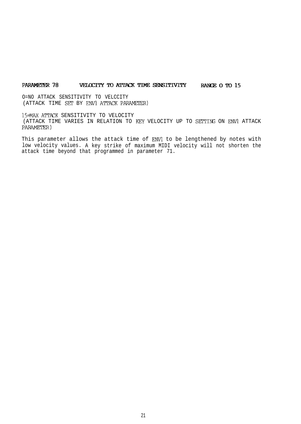### PARAMETER 78 **vELOCITY TO ATTACK TIME SENSITIVITY** RANGE O TO 15

O=NO ATTACK SENSITIVITY TO VELCCITY (ATTACK TIME SET BY ENVl ATTACK PARAMETER)

15=MAX ATTXK SENSITIVITY TO VELOCITY (ATTACK TIME VARIES IN RELATION TO KEY VELOCITY UP TO SETTING ON ENVl ATTACK PARAMETER)

This parameter allows the attack time of ENVl to be lengthened by notes with low velocity values. A key strike of maximum MIDI velocity will not shorten the attack time beyond that programmed in parameter 71.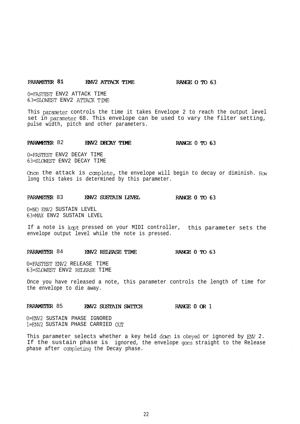# **PARAMETER 81 ENV2 ATTACK TIME RANGE OTO 63**

O=FASTEST ENV2 ATTACK TIME 63=SIQWEST ENV2 ATTACK TIME

This parameter controls the time it takes Envelope 2 to reach the output level set in parmeter 68. This envelope can be used to vary the filter setting, pulse width, pitch and other parameters.

# PARAMETER 82 ENV2 DECAY TIME RANGE 0 TO 63

O=FASTEST ENV2 DECAY TIME 63=SLGwEST ENV2 DECAY TIME

Once the attack is complete, the envelope will begin to decay or diminish. How long this takes is determined by this parameter.

### PARAMETER 83 ENV2 SUSTAIN LEVEL BOTOG3

0=NO ENV2 SUSTAIN LEVEL 63=MAX ENV2 SUSTAIN LEVEL

If a note is kept pressed on your MIDI controller, this parameter sets the envelope output level while the note is pressed.

# PARAMETER 84 **ENV2 RELEASE TIME** RANGE 0 TO 63

O=FASTEST EW2 RELEASE TIME 63=SLOWEST ENV2 RELEASE TIME

Once you have released a note, this parameter controls the length of time for the envelope to die away.

# PARAMETER 85 ENV2 SUSTAIN SWITCH **III: RANGE 0 OR 1**

0=ENV2 SUSTAIN PHASE IGNORED 1=ENV2 SUSTAIN PHASE CARRIED OUT

This parameter selects whether a key held down is obeyed or ignored by ENV 2. If the sustain phase is ignored, the envelope goes straight to the Release phase after ccmpleting the Decay phase.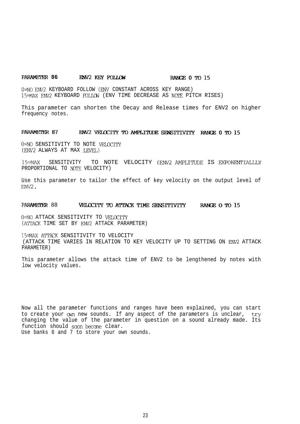### **PARAMETER 86 EWV2 KEY FOLLOW RANGE 0 TO 15**

O=NO ENV2 KEYBOARD FOLLOW (BNV CONSTANT ACROSS KEY RANGE) 15=MAX ENV2 KEYBOARD FOLm (ENV TIME DECREASE AS NOTE PITCH RISES)

This parameter can shorten the Decay and Release times for ENV2 on higher frequency notes.

#### PARAMETER 87 ENV2 VELOCITY TO AMPLITUDE SENSITIVITY RANGE 0 TO 15

O=NO SENSITIVITY TO NOTE VELOCITY (ENV2 ALWAYS AT MAX LEVEL)

15=MAX SENSITIVITY TO NOTE VELOCITY (ENV2 AMPLITUDE IS EXPONENTIALLLY PROPORTIONAL TO NOTE VELOCITY)

Use this parameter to tailor the effect of key velocity on the output level of ENV<sub>2</sub>.

### PARAMETER 88 **WELCCITY TO ATTACK TIME SENSITIVITY** RANGE O TO 15

0=NO ATTACK SENSITIVITY TO VELOCITY (ATTACK TIME SET BY ENV2 ATTACK PARAMETER)

15=MAX ATTXK SENSITIVITY TO VELOCITY (ATTACK TIME VARIES IN RELATION TO KEY VELOCITY UP TO SETTING ON ENV2 ATTACK PARAMETER)

This parameter allows the attack time of ENV2 to be lengthened by notes with low velocity values.

Now all the parameter functions and ranges have been explained, you can start to create your own new sounds. If any aspect of the parameters is unclear, try changing the value of the parameter in question on a sound already made. Its function should soon become clear. Use banks 6 and 7 to store your own sounds.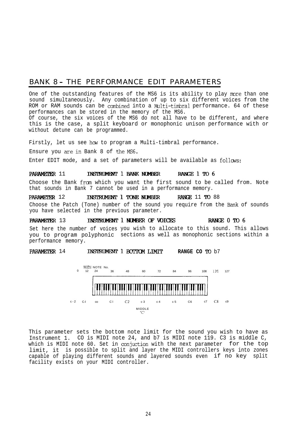## BANK 8 - THE PERFORMANCE EDIT PARAMETERS

One of the outstanding features of the MS6 is its ability to play more than one sound simultaneously. Any combination of up to six different voices from the ROM or RAM sounds can be combined into a Multi-timbral performance. 64 of these performances can be stored in the memory of the MS6.

Of course, the six voices of the MS6 do not all have to be different, and where this is the case, a split keyboard or monophonic unison performance with or without detune can be programmed.

Firstly, let us see how to program a Multi-timbral performance.

Ensure you are in Bank 8 of the MS6.

Enter EDIT mode, and a set of parameters will be available as follows:

**PARAMETER 11 INSTRUMENT 1 BANK NUMBER RANGE 1 TO 6** 

Choose the Bank fram which you want the first sound to be called from. Note that sounds in Bank 7 cannot be used in a performance memory.

PARAMETER 12 INSTRUMENT 1 TONE NUMBER FANGE 11 TO 88 Choose the Patch (Tone) number of the sound you require from the Bank of sounds you have selected in the previous parameter.

PARAMETER 13 **INSTRUMENT 1 NUMBER OF VOICES** RANGE 0 TO 6

Set here the number of voices you wish to allocate to this sound. This allows you to program polyphonic sections as well as monophonic sections within a performance memory.

**PARAMETER** 14 **INSTRUMENT 1 BOTTOM LIMIT RANGE CO TO** b7



This parameter sets the bottom note limit for the sound you wish to have as Instrument 1. CO is MIDI note 24, and b7 is MIDI note 119. C3 is middle C, which is MIDI note 60. Set in conjuction with the next parameter for the top limit, it is possible to split and layer the MIDI controllers keys into zones capable of playing different sounds and layered sounds even if no key split facility exists on your MIDI controller.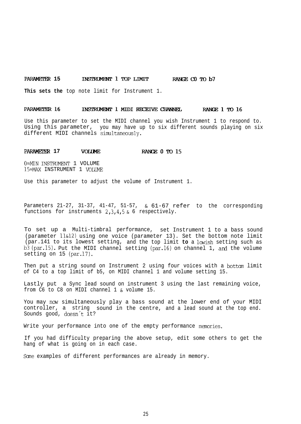### **PARAMETER 15 INSTRUMENT 1 TOP LIMIT RANGE CO TO b7**

**This sets the** top note limit for Instrument 1.

#### PARAMETER 16 INSTRUMENT 1 MIDI RECEIVE CHANNEL RANGE 1 TO 16

Use this parameter to set the MIDI channel you wish Instrument 1 to respond to. Using this parameter, you may have up to six different sounds playing on six different MIDI channels simltaneously.

#### **PARAMETER 17 VOLUME RANGE 0 TO 15**

0=MIN INSTRUMENT 1 VOLUME **15=iWX** INSTRUMENT 1 VOLUME

Use this parameter to adjust the volume of Instrument 1.

Parameters 21-27, 31-37, 41-47, 51-57, & 61-67 refer to the corresponding functions for instruments  $2,3,4,5$  & 6 respectively.

To set up a Multi-timbral performance, set Instrument 1 to a bass sound (parameter 11&12) using one voice (parameter 13). Set the bottom note limit (par.141 to its lowest setting, and the top limit **to** a lowish setting such as b3 (par.15). Put the MIDI channel setting (par.16) on channel 1, and the volume setting on 15 (par.17).

Then put a string sound on Instrument 2 using four voices with a bottom limit of C4 to a top limit of b5, on MIDI channel 1 and volume setting 15.

Lastly put a Sync lead sound on instrument 3 using the last remaining voice, from C6 to C8 on MIDI channel 1 & volume 15.

You may now simultaneously play a bass sound at the lower end of your MIDI controller, a string sound in the centre, and a lead sound at the top end. Sounds good, dcesn't it?

Write your performance into one of the empty performance memories.

If you had difficulty preparing the above setup, edit some others to get the hang of what is going on in each case.

Scme examples of different performances are already in memory.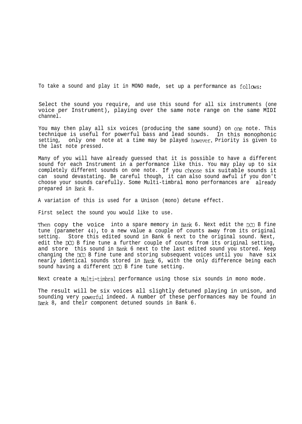To take a sound and play it in MONO made, set up a performance as follows:

Select the sound you require, and use this sound for all six instruments (one voice per Instrument), playing over the same note range on the same MIDI channel.

You may then play all six voices (producing the same sound) on one note. This technique is useful for powerful bass and lead sounds. In this monophonic setting, only one note at a time may be played however. Priority is given to the last note pressed.

Many of you will have already guessed that it is possible to have a different sound for each Instrument in a performance like this. You may play up to six completely different sounds on one note. If you choose six suitable sounds it can sound devastating. Be careful though, it can also sound awful if you don't choose your sounds carefully. Some Multi-timbral mono performances are already prepared in Bank 8.

A variation of this is used for a Unison (mono) detune effect.

First select the sound you would like to use.

Then copy the voice into a spare memory in Bank 6. Next edit the DCO B fine tune (parameter 44), to a new value a couple of counts away from its original setting. Store this edited sound in Bank 6 next to the original sound. Next, edit the DC0 B fine tune a further couple of counts from its original setting, and store this sound in hank 6 next to the last edited sound you stored. Keep changing the DC0 B fine tune and storing subsequent voices until you have six nearly identical sounds stored in Bank 6, with the only difference being each sound having a different DC0 B fine tune setting.

Next create a Multi-timbral performance using those six sounds in mono mode.

The result will be six voices all slightly detuned playing in unison, and sounding very powerful indeed. A number of these performances may be found in Bank 8, and their component detuned sounds in Bank 6.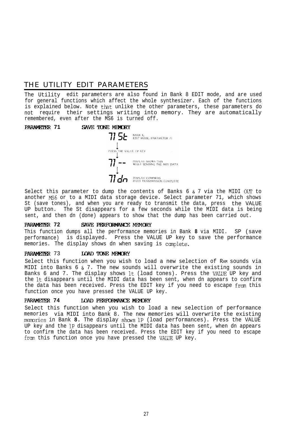## THE UTILITY EDIT PARAMETERS

The Utility edit parameters are also found in Bank 8 EDIT mode, and are used for general functions which affect the whole synthesizer. Each of the functions is explained below. Note that unlike the other parameters, these parameters do not require their settings writing into memory. They are automatically remembered, even after the MS6 is turned off.



Select this parameter to dump the contents of Banks 6 & 7 via the MIDI OUT to another **Ms6** or to a MIDI data storage device. Select parameter 71, which shows St (save tones), and when you are ready to transmit the data, press the VALUE UP button. The St disappears for a few seconds while the MIDI data is being sent, and then dn (done) appears to show that the dump has been carried out.<br>**PARAMETER 72 SAVE PERFORMANCE MEMORY**<br>This function dumps all the performance memories in Pank 8 via MIDI SP (s)

This function dumps all the performance memories in Bank **8** via MIDI. SP (save performance) is displayed. Press the VALUE UP key to save the performance memories. The display shows dn when saving is canplete.

### **PARAMETER 73 ILOAD TONE MEMORY**

Select this function when you wish to load a new selection of RAM sounds via MIDI into Banks 6 & 7. The new sounds will overwrite the existing sounds in Banks 6 and 7. The display shows lt (load tones). Press the VAIUE UP key and the It disappears until the MIDI data has been sent, when dn appears to confirm the data has been received. Press the EDIT key if you need to escape from this function once you have pressed the VALUE UP key.

### **PARAMETER 74 LOAD PERFORMANCE MEMORY**

Select this function when you wish to load a new selection of performance memories via MIDI into Bank 8. The new memories will overwrite the existing memories in Bank 8. The display shows 1P (load performances). Press the VALUE UP key and the 1P disappears until the MIDI data has been sent, when dn appears to confirm the data has been received. Press the EDIT key if you need to escape from this function once you have pressed the VAIUE UP key.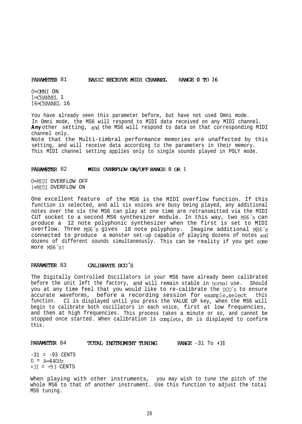### **PARAMETER 81 BASIC RECEIVE MIDI CHANNEL RANGE 0 TO 16**

 $0=$ CMNI ON l=CHANNFL 1  $16 = \text{CHANNET}$ , 16

You have already seen this parameter before, but have not used Omni mode. In Omni mode, the MS6 will respond to MIDI data received on any MIDI channel. Any other setting, and the MS6 will respond to data on that corresponding MIDI channel only. Note that the Multi-timbral performance memories are unaffected by this

setting, and will receive data according to the parameters in their memory. This MIDI channel setting applies only to single sounds played in POLY mode.

#### **PARAMETER 82** MIDI OVERFLOW ON/OFF RANGE 0 OR 1

0=MIDI OVERFLOW OFF l=MIDI OVERFLOW ON

One excellent feature of the MS6 is the MIDI overflow function. If this function is selected, and all six voices are busy being played, any additional notes over the six the MS6 can play at one time are retransmitted via the MIDI CUT socket to a second MS6 synthesizer module. In this way, two MS6's can produce a 12 note polyphonic synthesizer when the first is set to MIDI overflow. Three MS6's gives 18 note polyphony. Imagine additional MS6's connected to produce a monster set-up capable of playing dozens of notes and dozens of different sounds simultaneously. This can be reality if you get some more MSG's!

### PARAMETER 83 CALIBRATEDCO'S

The Digitally Controlled Oscillators in your MS6 have already been calibrated before the unit left the factory, and will remain stable in normal use. Should you at any time feel that you would like to re-calibrate the DCO's to ensure accurate waveforms, before a recording session for example,select this function. Cl is displayed until you press the VALUE UP key, when the MS6 will begin to calibrate both oscillators in each voice, first at low frequencies, and then at high frequencies. This process takes a minute or so, and cannot be stopped once started. When calibration is complete, dn is displayed to confirm this.

# PARAMETER 84 IOTAL INSTRUMENT TUNING RANGE -31 To +31

 $-31 = -93$  CENTS  $0 = A=440 Hz$ +31 = +93 CENTS

When playing with other instruments, you may wish to tune the pitch of the whole MS6 to that of another instrument. Use this function to adjust the total MS6 tuning.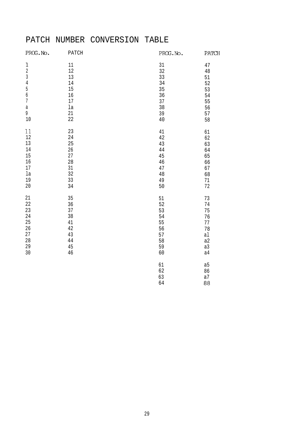## PATCH NUMBER CONVERSION TABLE

| PROG.No.         | PATCH  | PROG.No. | PATCH          |
|------------------|--------|----------|----------------|
| $\mathbf 1$      | $11\,$ | 31       | 47             |
| $\sqrt{2}$       | 12     | 32       | $4\,8$         |
| $\sqrt{3}$       | 13     | 33       | 51             |
| $\sqrt{4}$       | 14     | 34       | 52             |
| 5                | 15     | 35       | 53             |
| $\boldsymbol{6}$ | 16     | 36       | 54             |
| 7                | $17\,$ | 37       | 55             |
| $\mathsf a$      | la     | 38       | 56             |
| 9                | 21     | 39       | 57             |
| 10               | 22     | $40$     | 58             |
| 11               | 23     | 41       | 61             |
| $12$             | 24     | 42       | 62             |
| 13               | 25     | 43       | 63             |
| 14               | 26     | $4\,4$   | 64             |
| 15               | 27     | 45       | 65             |
| 16               | 28     | 46       | 66             |
| $17\,$           | 31     | 47       | 67             |
| 1a               | 32     | $4\,8$   | 68             |
| 19               | 33     | 49       | 71             |
| $20\,$           | 34     | 50       | 72             |
| 21               | 35     | 51       | 73             |
| 22               | 36     | 52       | 74             |
| 23               | 37     | 53       | 75             |
| 24               | 38     | 54       | 76             |
| $25\,$           | 41     | 55       | 77             |
| $26\,$           | 42     | 56       | 78             |
| $2\,7$           | 43     | 57       | al             |
| 28               | $4\,4$ | 58       | a2             |
| 29               | 45     | 59       | a3             |
| 30               | 46     | 60       | a <sub>4</sub> |
|                  |        | 61       | a5             |
|                  |        | 62       | 86             |
|                  |        | 63       | a7             |
|                  |        | 64       | 88             |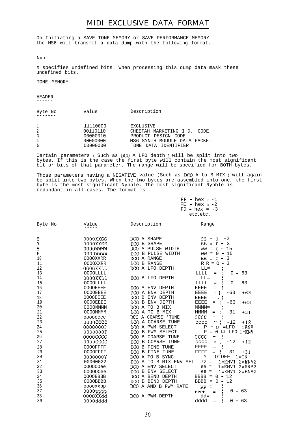### MIDI EXCLUSIVE DATA FORMAT

On Initiating a SAVE TONE MEMORY or SAVE PERFORMANCE MEMORY the MS6 will transmit a data dump with the following format.

Note :

X specifies undefined bits. When processing this dump data mask these undefined bits.

TONE MEMORY

HEADER ------

| Byte No | Value    | Description                  |
|---------|----------|------------------------------|
|         | 11110000 | <b>EXCLUSIVE</b>             |
|         | 00110110 | CHEETAH MARKETING I.D. CODE  |
|         | 00000010 | PRODUCT DESIGN CODE          |
|         | 00000000 | MS6 SYNTH MODULE DATA PACKET |
|         | 00000000 | TONE DATA IDENTIFIER         |

Certain parameters ( Such as DC0 A LFO depth ) will be split into two bytes. If this is the case the first byte will contain the most significant bit or bits of that parameter. The range will be specified for BOTH bytes.

Those parameters having a NEGATIVE value (Such as DC0 A to B MIX ) will again be split into two bytes. When the two bytes are assembled into one, the first byte is the most significant Nybble. The most significant Nybble is redundant in all cases. The format is :-

|          |  | $FF - hex -1$   |  |  |
|----------|--|-----------------|--|--|
|          |  | $FE - hex -2$   |  |  |
|          |  | $FD - hex = -3$ |  |  |
| etc.etc. |  |                 |  |  |

| Byte No        | Value           | Description            | Range                                 |
|----------------|-----------------|------------------------|---------------------------------------|
|                |                 |                        |                                       |
| 6              | 0000XXSS        | DCO A SHAPE            | $SS = 0$<br>$-2$                      |
| $\overline{7}$ | 0000XXSS        | DCO B SHAPE            | $SS = 0 -$<br>$\overline{\mathbf{3}}$ |
| $\bf 8$        | 0000WWWW        | DCO A PULSE WIDTH      | $ww = 0 - 15$                         |
| 9              | 0000WWWW        | DCO B PULSE WIDTH      | 15<br>$ww = 0 -$                      |
| 10             | 0000XXRR        | DCO A RANGE            | $RR = 0 -$<br>$\overline{3}$          |
| 11             | 0000XXRR        | DCO B RANGE            | $RR = 0 - 3$                          |
| 12             | 0000XXLL        | DCO A LFO DEPTH        | $LL =$                                |
| 13             | <b>OOOOLLLL</b> |                        | LLLL<br>63<br>0.<br>۰<br>$=$          |
| 14             | 0000XXLL        | DCO B LFO DEPTH        | $LL =$                                |
| 15             | 0000LLLL        |                        | LLLL<br>63<br>0<br>$=$<br>aan.        |
| 16             | <b>OOOOEEEE</b> | DCO A ENV DEPTH        | <b>EEEE</b><br>$=$                    |
| 17             | <b>OOOOEEEE</b> | DCO A ENV DEPTH        | $+63$<br><b>EEEE</b><br>$-63$<br>o :  |
| 18             | <b>OOOOEEEE</b> | DCO B ENV DEPTH        | <b>EEEE</b><br>$\Box$                 |
| 19             | <b>OOOOEEEE</b> | DCO B ENV DEPTH        | $+63$<br><b>EEEE</b><br>$-63$<br>$=$  |
| 20             | <b>OOOOMMMM</b> | DCO A TO B MIX         | $MMM =$                               |
| 21             | <b>OOOOMMMM</b> | DCO A TO B MIX         | $+31$<br><b>MMMM</b><br>$-31$<br>$=$  |
| 22             | <b>OOOOCCCC</b> | DCO A COARSE<br>' TUNE | CCCC<br>$\ddot{z}$                    |
| 23             | 0000CCCC        | DCO A COARSE TUNE      | $+12$<br>$\Xi$<br>$-12$<br>cccc       |
| 24             | 0000000P        | DCO A PWM SELECT       | $=$ LFO $1$ =ENV<br>Ρ<br>$= 0$        |
| 25             | 0000000P        | DCO B PWM SELECT       | $= 0$<br>$\Box$<br>LFO 1=ENV<br>P     |
| 26             | 0000CCCC        | DCO B COARSE TUNE      | cccc<br>$\overline{\phantom{a}}$      |
| 27             | 0000CCCC        | DCO B<br>COARSE TUNE   | $+12$<br>$-12$<br>cccc<br>$\simeq$    |
| 28             | <b>OOOOFFFF</b> | DCO B FINE TUNE        | FFFF<br>$=$                           |
| 29             | <b>OOOOFFFF</b> | DCO B FINE TUNE        | FFFF<br>$+31$<br>4.<br>$-31$<br>$=$   |
| 30             | 0000000Y        | DCO A TO B SYNC        | $1 = ON$<br>Y Q O=OFF                 |
| 31             | 00000022        | DCO A TO B MIX ENV SEL | $1 = ENV1$ $2 = ENV2$<br>$ZZ =$       |
| 32             | 000000ee        | DCO A ENV SELECT       | $1 = ENV1$ $2 = ENV2$<br>$ee =$       |
| 33             | 000000ee        | DCO B ENV SELECT       | $1 = ENV1$ $2 = ENV2$<br>$ee =$       |
| 34             | 0000BBBB        | DCO A BEND DEPTH       | BBBB = $0 - 12$                       |
| 35             | <b>OOOOBBBB</b> | DCO B BEND DEPTH       | $0 - 12$<br>$BBBB =$                  |
| 36             | 0000XXpp        | DCO A AND B PWM RATE   | $pp =$                                |
| 37             | $0000$ pppp     |                        | $-63$<br>0<br><b>PPPP</b><br>$=$      |
| 38             | 0000XXdd        | DCO A PWM DEPTH        | $dd =$                                |
| 39             | 0000dddd        |                        | dddd<br>$0 - 63$<br>$=$               |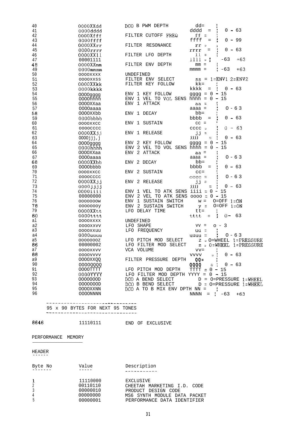| 40             | 0000XXdd        | DCO B PWM DEPTH                      | $dd =$                            |                               |
|----------------|-----------------|--------------------------------------|-----------------------------------|-------------------------------|
| 41             | 0000dddd        |                                      | dddd<br>$=$                       | $0 - 63$                      |
| 42             | 0000Xfff        | FILTER CUTOFF FREQ                   | ff $=$                            |                               |
| 43             | 0000ffff        |                                      | ffff<br>$=$                       | 0 - 99                        |
| 44             | $0000$ XX $rr$  | FILTER RESONANCE                     | rr<br>$\Box$                      |                               |
| 45             | $0000 \tt rrr$  |                                      | rrrr                              | 63<br>$0 -$                   |
| 46             | 0000XX11        | FILTER LFO DEPTH                     | $11 -$<br>$\equiv$                |                               |
| 47             | 00001111        |                                      | 1111<br>$\blacksquare$            | +63<br>$-63$                  |
| 48             | $0000$ XXmm     | FILTER ENV DEPTH                     | mm<br>$=$                         |                               |
| 49             | $0000$ mmmm     |                                      | $mmm =$                           | +63<br>$-63$                  |
| 50             | 0000XXXX        | UNDEFINED                            |                                   |                               |
| 51             |                 | FILTER ENV SELECT                    | SS.                               | $= 1$ =ENV1 2=ENV2            |
|                | 0000XXSS        | FILTER KEY FOLLOW                    | kk=                               |                               |
| 52             | 0000XXkk        |                                      |                                   | $0 - 63$                      |
| 53             | 0000kkkk        |                                      | kkkk<br>$=$                       |                               |
| 54             | 0000qqqq        | ENV 1 KEY FOLLOW                     | $\frac{1}{2}$ aggga = 0<br>$\sim$ | -15                           |
| 55             | 0000hhhh        | ENV 1 VEL TO VOL SENS hhhh =         | $0 -$                             | 15                            |
| 56             | 0000XXaa        | ENV 1 ATTACK                         | $aa =$                            |                               |
| 57             | 0000aaaa        |                                      | $aaaa =$                          | $0 - 63$                      |
| 58             | 0000XXbb        | ENV 1 DECAY                          | bb=                               |                               |
| 59             | 0000PPPP        |                                      | bbbb<br>$\qquad \qquad =$         | 0 - 63                        |
| 60             | 0000XXCC        | ENV 1 SUSTAIN                        | $cc =$                            |                               |
| 61             | <b>OOOOCCCC</b> |                                      | cccc<br>$\blacksquare$            | -63<br>0.<br>$\sim$           |
| 62             | 0000XX.j.j      | ENV 1 RELEASE                        | jj<br>$\equiv$                    |                               |
| 63             | 0000jjj,j       |                                      | tttt<br>$\equiv$                  | $0 - 63$                      |
| 64             | 0000qqqq        | ENV<br>2<br>KEY FOLLOW               | 0<br>gggg<br>$\equiv$             | 15                            |
| 65             | 0000hhhh        | ENV 2 VEL TO VOL SENS hhhh =         | $\Omega$                          | 15                            |
| 66             | 0000XXaa        | 2 ATTACK<br>ENV                      | aa =                              |                               |
| 67             | 0000aaaa        |                                      | $aaaa =$                          | $0 - 63$                      |
| 68             | 0000XXbb        | ENV 2 DECAY                          | bb=                               |                               |
|                |                 |                                      | bbbb<br>$=$                       | 63<br>0 –                     |
| 69<br>70       | 0000pppp        | 2                                    |                                   |                               |
|                | 0000XXCC        | SUSTAIN<br>ENV                       | $CC =$                            |                               |
| 71             | <b>OOOOCCCC</b> |                                      | $cccc =$                          | $0 - 63$                      |
| 72             | 0000XXjj        | ENV 2 RELEASE                        | jj =                              |                               |
| 73             | 0000jjjj        |                                      | tttt<br>$\equiv$                  | $0 - 63$                      |
| 74             | 0000iiii        | 1<br>VEL TO ATK SENS<br>ENV          | iiii<br>0<br>$\equiv$             | 15                            |
| 75             | 00000000        | ENV 2 VEL TO ATK SENS 0000           | = 0 - 15                          |                               |
| 76             | 0000000W        | SUSTAIN SWITCH<br>ENV<br>1           | $W =$                             | $O=OFF$ $1=ON$                |
| 78             | 0000000y        | 2<br>SUSTAIN SWITCH<br>ENV           | $y =$                             | $O=OFF 1=ON$                  |
| 79             | 0000XXtt        | LFO DELAY TIME                       | $tt =$                            |                               |
| 80             | 0000tttt        |                                      | tttt<br>$\equiv$                  | $0 -$<br>63                   |
| al             | 0000XXXX        | UNDEFINED                            |                                   |                               |
| a2             | 0000XXVV        | LFO<br>SHAPE                         | VV<br>$=$                         | -3<br>$\circ$ -               |
| a3             | <b>0000xxuu</b> | LFO<br>FREQUENCY                     | 一二<br>uu                          |                               |
| a4             | 0000uuuu        |                                      | $uuuu =$                          | $0 - 63$                      |
| a <sub>5</sub> | 0000000Z        | LFO PITCH MOD<br>SELECT              | Ζ                                 | $\circ$ O=WHEEL 1=PRESSURE    |
| 86             | 00000002        | LFO FILTER MOD SELECT                | $z = 0$ = WHEEL                   | 1=PRESSURE                    |
| a7             | 0000XXVV        | VCA VOLUME                           | $vv =$                            |                               |
| 88             | 0000VVVV        |                                      | <b>VVVV</b><br>$\Box$             | $0 - 63$                      |
| a9             | 0000XXQQ        | FILTER PRESSURE DEPTH                |                                   |                               |
| 90             |                 |                                      | QQ=                               |                               |
| 91             | 00000000        |                                      | QQQQ<br>$\equiv$                  | $0 - 63$                      |
| 92             | 0000TTTT        | LFO PITCH MOD DEPTH                  | $TTTT = 0 -$                      | -15                           |
|                | 0000YYYY        | LFO FILTER MOD DEPTH YYYY = $0 - 15$ |                                   |                               |
| 93             | 0000000D        | DCO A BEND SELECT                    |                                   | $D = O = PRESSURE 1 = WHEREL$ |
| 94             | 0000000D        | DCO B BEND SELECT                    |                                   | $D = O = PRESSURE 1 = WHEREI$ |
| 95             | 0000XXNN        | DCO A TO B MIX ENV DPTH NN =         |                                   |                               |
| 96             | 0000NNNN        |                                      | $NNNN =$                          | $-63$<br>$+63$                |
|                |                 |                                      |                                   |                               |

### \_-. -------\_-- 95 x 90 BYTES FOR NEXT 95 TONES ~~\_-\_\_-\_\_\_\_\_\_\_\_\_\_--\_-\_-----\_\_--

8646 11110111 END OF EXCLUSIVE

## PERFORMANCE MEMORY

#### HEADER ------

| Byte No | Value                                                    | Description                                                                                                                           |
|---------|----------------------------------------------------------|---------------------------------------------------------------------------------------------------------------------------------------|
|         | 11110000<br>00110110<br>00000010<br>00000000<br>00000001 | <b>EXCLUSIVE</b><br>CHEETAH MARKETING I.D. CODE<br>PRODUCT DESIGN CODE<br>MS6 SYNTH MODULE DATA PACKET<br>PERFORMANCE DATA IDENTIFIER |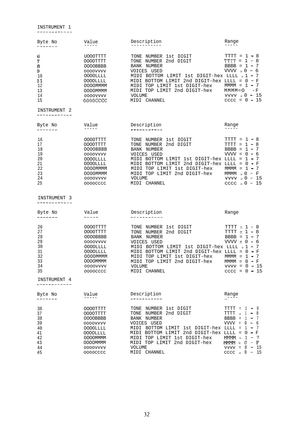INSTRUMENT 1

| Byte No<br>-------                                       | Value                                                                                                                              | Description                                                                                                                                                                                                                                                                       | Range                                                                                                                                                                        |
|----------------------------------------------------------|------------------------------------------------------------------------------------------------------------------------------------|-----------------------------------------------------------------------------------------------------------------------------------------------------------------------------------------------------------------------------------------------------------------------------------|------------------------------------------------------------------------------------------------------------------------------------------------------------------------------|
| 6<br>7<br>8<br>9<br>10<br>11<br>12<br>13<br>14<br>15     | U000TTTT<br>OOOOTTTT<br>0000BBBB<br>0000VVVV<br>0000LLLL<br>0000LLLL<br>0000MMMM<br>0000MMMM<br>0000VVVV<br>00000000               | TONE NUMBER 1st DIGIT<br>TONE NUMBER 2nd DIGIT<br>BANK NUMBER<br>VOICES USED<br>MIDI BOTTOM LIMIT 1st DIGIT-hex LLLL a 1 - 7<br>MIDI BOTTOM LIMIT 2nd DIGIT-hex LLLL = $0 - F$<br>MIDI TOP LIMIT 1st DIGIT-hex<br>MIDI TOP LIMIT 2nd DIGIT-hex<br>VOLUME<br>MIDI CHANNEL          | $TTTT = 1 - 8$<br>$TTTT = 1 - 8$<br>$BBBB = 1 - 7$<br>$VVVV = 0 - 6$<br>$MMM = 1 - 7$<br>$MMM = O - F$<br>$vvvv = 0 - 15$<br>$cccc = 0 - 15$                                 |
| INSTRUMENT <sub>2</sub><br>------------                  |                                                                                                                                    |                                                                                                                                                                                                                                                                                   |                                                                                                                                                                              |
| Byte No<br>-------                                       | Value                                                                                                                              | Description<br>the contract and contract the contract                                                                                                                                                                                                                             | Range                                                                                                                                                                        |
| 16<br>17<br>18<br>19<br>20<br>21<br>22<br>23<br>24<br>25 | 0000TTTT<br>0000TTTT<br>0000BBBB<br>0000VVVV<br>0000LLLL<br>0000LLLL<br>OOOOMMMM<br><b>OOOOMMMM</b><br>0000VVVV<br><b>OOOOCCCC</b> | TONE NUMBER 1st DIGIT<br>TONE NUMBER 2nd DIGIT<br><b>BANK NUMBER</b><br>VOICES USED<br>MIDI BOTTOM LIMIT 1st DIGIT-hex LLLL = $1 - 7$<br>MIDI BOTTOM LIMIT 2nd DIGIT-hex LLLL = $0 - F$<br>MIDI TOP LIMIT 1st DIGIT-hex<br>MIDI TOP LIMIT 2nd DIGIT-hex<br>VOLUME<br>MIDI CHANNEL | $TTTT = 1 - 8$<br>$TTTT = 1 - 8$<br>$BBBB = 1 - 7$<br>$VVVV = 0 - 6$<br>$MMM = 1 - 7$<br>$MMM \circ 0 = F$<br>$vvvv_0 - 15$<br>$cccc = 0 - 15$                               |
| INSTRUMENT 3                                             |                                                                                                                                    |                                                                                                                                                                                                                                                                                   |                                                                                                                                                                              |
| Byte No<br>-------                                       | Value<br>-----                                                                                                                     | Description<br>----------                                                                                                                                                                                                                                                         | Range                                                                                                                                                                        |
| 26<br>27<br>28<br>29<br>30<br>31<br>32<br>33<br>34<br>35 | 0000TTTT<br>0000TTTT<br>0000BBBB<br>0000VVVV<br>0000LLLL<br>0000LLLL<br><b>OOOOMMMM</b><br><b>OOOOMMMM</b><br>0000VVVV<br>0000CCCC | TONE NUMBER 1st DIGIT<br>TONE NUMBER 2nd DIGIT<br>BANK NUMBER<br>VOICES USED<br>MIDI BOTTOM LIMIT 1st DIGIT-hex LLLL a 1 - 7<br>MIDI BOTTOM LIMIT 2nd DIGIT-hex LLLL = $0 - F$<br>MIDI TOP LIMIT 1st DIGIT-hex<br>MIDI TOP LIMIT 2nd DIGIT-hex<br>VOLUME<br>MIDI CHANNEL          | $TTTT = 1 - 8$<br>$TTTT = 1 - 8$<br>$BBBB = 1 - 7$<br>$VVVV = 0 - 6$<br>$MMMM = 1 - 7$<br>$MMM = 0 - F$<br>$vvvv = 0 - 15$<br>$cccc = 0 - 15$                                |
| INSTRUMENT 4                                             |                                                                                                                                    |                                                                                                                                                                                                                                                                                   |                                                                                                                                                                              |
| Byte No                                                  | Value                                                                                                                              | Description                                                                                                                                                                                                                                                                       | Range<br>$---$                                                                                                                                                               |
| 36<br>37<br>38<br>39<br>40<br>41<br>42<br>43<br>44       | 0000TTTT<br>0000TTTT<br>0000BBBB<br>0000VVVV<br>0000LLLL<br>0000LLLL<br><b>OOOOMMMM</b><br>MMMOOOO<br>0000VVVV                     | TONE NUMBER 1st DIGIT<br>TONE NUMBER 2nd DIGIT<br><b>BANK NUMBER</b><br>VOICES USED<br>MIDI BOTTOM LIMIT 1st DIGIT-hex LLLL =<br>MIDI BOTTOM LIMIT 2nd DIGIT-hex LLLL = $0 - F$<br>MIDI TOP LIMIT 1st DIGIT-hex<br>MIDI TOP LIMIT 2nd DIGIT-hex<br>VOLUME                         | $TTTT = 1 - 8$<br>TTTT $\circ$ 1 - 8<br>$BBBB = 1 - 7$<br>$VVVV = 0 - 6$<br>- 7<br>- 1<br>$\overline{\phantom{a}}$<br>$MMM =$<br>$1 - 7$<br>$MMM = 0 - F$<br>$vvvv = 0 - 15$ |

45 oooocccc MIDI CHANNEL cccc <sup>q</sup> 0 - 15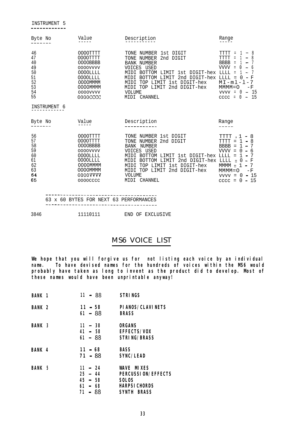| Byte No                                                                  | Value                                                                                                                                           | Description                                                                                                                                                                                                                                                                                        | Range                                                                                                                                                                                                                                                                                                                            |
|--------------------------------------------------------------------------|-------------------------------------------------------------------------------------------------------------------------------------------------|----------------------------------------------------------------------------------------------------------------------------------------------------------------------------------------------------------------------------------------------------------------------------------------------------|----------------------------------------------------------------------------------------------------------------------------------------------------------------------------------------------------------------------------------------------------------------------------------------------------------------------------------|
| 46<br>47<br>40<br>49<br>50<br>51<br>52<br>53<br>54<br>55<br>INSTRUMENT 6 | OOOOTTTT<br>OOOOTTTT<br>0000BBBB<br>0000VVVV<br><b>OOOOLLLL</b><br><b>OOOOLLLL</b><br><b>OOOOMMMM</b><br><b>OOOOMMMM</b><br>0000VVVV<br>0000CCC | TONE<br>NUMBER 1st DIGIT<br>2nd DIGIT<br>NUMBER<br>TONE<br><b>BANK NUMBER</b><br><b>VOICES</b><br>USED<br>MIDI BOTTOM<br>LIMIT 1st DIGIT-hex<br>2nd DIGIT-hex<br>BOTTOM<br>LIMIT<br>MTDT<br>TOP LIMIT 1st DIGIT-hex<br>MIDI<br>2nd DIGIT-hex<br>MIDI TOP LIMIT<br><b>VOLUME</b><br>CHANNEL<br>MIDI | <b>TTTT</b><br>8<br>$\equiv$<br>TTTT<br>Ξ<br><b>BBBB</b><br>$\equiv$<br>$\overline{\phantom{0}}$<br>VVVV =<br>$\leftarrow$<br>TJTJTJ<br>Ξ<br>$LLLL =$<br>F<br>$MT - m1 - 1 - 7$<br>$MMM = O$<br>$-F$<br>- 15<br>$\mathbf 0$<br>VVVV =<br>$\overline{\phantom{a}}$<br>-15<br>$\mathbf{0}$<br>$cccc =$<br>$\overline{\phantom{a}}$ |
| Byte No                                                                  | Value                                                                                                                                           | Description                                                                                                                                                                                                                                                                                        | Range                                                                                                                                                                                                                                                                                                                            |
| 56<br>57<br>58<br>59<br>60<br>61<br>62<br>63<br>64<br>65                 | OOOOTTTT<br>OOOOTTTT<br>0000BBBB<br>0000VVVV<br><b>OOOOLLLL</b><br>0000LLLL<br><b>OOOOMMMM</b><br><b>OOOOMMMM</b><br>0000VVVV<br>0000CCCC       | TONE NUMBER 1st DIGIT<br>TONE NUMBER 2nd DIGIT<br>NUMBER<br><b>BANK</b><br>VOICES USED<br>BOTTOM LIMIT 1st DIGIT-hex<br>MIDI<br>2nd DIGIT-hex<br>BOTTOM LIMIT<br>MIDI<br>1st DIGIT-hex<br>TOP LIMIT<br>MTDT<br>2nd DIGIT-hex<br>TOP LIMIT<br>MIDI<br>VOLUME<br><b>CHANNEL</b><br>MIDI              | TTTT<br>-8<br>$\Box$<br>$TTTTT =$<br>8<br><b>BBBB</b><br>$\equiv$<br>$\blacksquare$<br>VVVV =<br>-6<br>$\left( \right)$<br>$\overline{\phantom{a}}$<br>$T_1T_2T_3T_4 =$<br>LLLL<br>F<br>$\Omega$<br>$\equiv$<br>7<br>$MMM \equiv$<br>$MMM = 0$<br>$-F$<br>- 15<br>$0 -$<br>$VVVV =$<br>15<br>$\Omega$<br>$cccc =$<br>$\sim$      |

\_\_\_\_\_\_\_\_\_\_\_\_--\_\_\_\_\_\_\_\_\_\_\_\_\_\_\_\_\_\_\_\_\_\_\_\_ 63 x 60 BYTES FOR NEXT 63 PERFORMANCES -----\_\_\_\_\_-\_\_\_\_\_\_\_\_--\_---\_\_\_\_\_--~~-~--

| 3846 | 11110111 |  | END OF EXCLUSIVE |
|------|----------|--|------------------|
|      |          |  |                  |

## MS6 VOICE LIST

**We hope that you will forgive us for not listing each voice by an individual name. To have devised names for the hundreds of voices within the MS6 would probably have taken as long to invent as the product did to develop. Most of these names would have been unprintable anyway!**

| <b>BANK 1</b> | $11 - 88$ | <b>STRINGS</b>            |
|---------------|-----------|---------------------------|
| <b>BANK 2</b> | $11 - 58$ | <b>PIANOS/CLAVINETS</b>   |
|               | $61 - 88$ | <b>BRASS</b>              |
| <b>BANK 3</b> | $11 - 38$ | <b>ORGANS</b>             |
|               | $41 - 58$ | <b>EFFECTS/VOX</b>        |
|               | 61 – 88   | <b>STRING/BRASS</b>       |
| <b>BANK 4</b> | $11 - 68$ | <b>BASS</b>               |
|               | 71 - 88   | <b>SYNC/LEAD</b>          |
| <b>BANK 5</b> | $11 - 24$ | <b>WAVE MIXES</b>         |
|               | $25 - 44$ | <b>PERCUSSION/EFFECTS</b> |
|               | $45 - 58$ | <b>SOLOS</b>              |
|               | $61 - 68$ | <b>HARPSICHORDS</b>       |
|               | 71 - 88   | <b>SYNTH BRASS</b>        |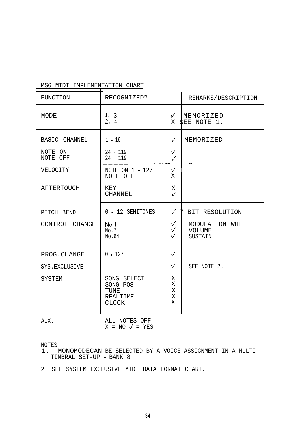## MS6 MIDI IMPLEMENTATION CHART

| <b>FUNCTION</b>     | RECOGNIZED?                                                        |                                     | REMARKS/DESCRIPTION                          |
|---------------------|--------------------------------------------------------------------|-------------------------------------|----------------------------------------------|
| MODE                | 1, 3<br>2, 4                                                       | $\sqrt{ }$<br>X                     | MEMORIZED<br>SEE NOTE 1.                     |
| BASIC CHANNEL       | $1 - 16$                                                           | $\sqrt{ }$                          | MEMORIZED                                    |
| NOTE ON<br>NOTE OFF | $24 - 119$<br>$24 - 119$                                           | $\sqrt{}$<br>$\checkmark$           |                                              |
| VELOCITY            | NOTE ON 1 - 127<br>NOTE OFF                                        | $\sqrt{}$<br>Χ                      |                                              |
| <b>AFTERTOUCH</b>   | KEY<br><b>CHANNEL</b>                                              | X<br>$\checkmark$                   |                                              |
| PITCH BEND          | 0 - 12 SEMITONES                                                   | $\checkmark$                        | 7<br>BIT RESOLUTION                          |
| CONTROL CHANGE      | No.1.<br>No.7<br>No.64                                             | $\sqrt{}$<br>$\sqrt{}$<br>$\sqrt{}$ | MODULATION WHEEL<br><b>VOLUME</b><br>SUSTAIN |
| PROG. CHANGE        | $0 - 127$                                                          | $\sqrt{}$                           |                                              |
| SYS.EXCLUSIVE       |                                                                    | $\sqrt{ }$                          | SEE NOTE 2.                                  |
| SYSTEM              | SONG SELECT<br>SONG POS<br>TUNE<br><b>REALTIME</b><br><b>CLOCK</b> | Χ<br>X<br>X<br>X<br>X               |                                              |
| AUX.                | ALL NOTES OFF                                                      |                                     |                                              |

ALL NOTES OFF  $X = NO \sqrt{ } = YES$ 

NOTES:

1. MONOMODECAN BE SELECTED BY A VOICE ASSIGNMENT IN A MULTI TIMBRAL SET-UP - BANK 8

2. SEE SYSTEM EXCLUSIVE MIDI DATA FORMAT CHART.